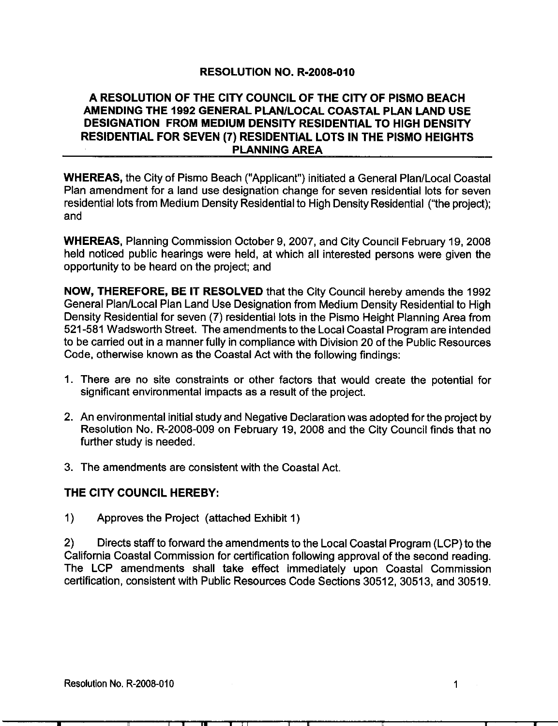## RESOLUTION NO. R-2008-010

## A RESOLUTION OF THE CITY COUNCIL OF THE CITY OF PISMO BEACH AMENDING THE 1992 GENERAL PLAN/LOCAL COASTAL PLAN LAND USE DESIGNATION FROM MEDIUM DENSITY RESIDENTIAL TO HIGH DENSITY RESIDENTIAL FOR SEVEN (7) RESIDENTIAL LOTS IN THE PISMO HEIGHTS PLANNING AREA

WHEREAS, the City of Pismo Beach ("Applicant") initiated a General Plan/Local Coastal Plan amendment for <sup>a</sup> land use designation change for seven residential lots for seven residential lots from Medium Density Residential to High Density Residential ("the project): and

WHEREAS, Planning Commission October 9, 2007, and City Council February 19, 2008 held noticed public hearings were held, at which all interested persons were given the opportunity to be heard on the project; and

NOW, THEREFORE, BE IT RESOLVED that the City Council hereby amends the 1992 General Plan/Local Plan Land Use Designation from Medium Density Residential to High Density Residential for seven (7) residential lots in the Pismo Height Planning Area from 521-581 Wadsworth Street. The amendments to the Local Coastal Program are intended to be carried out in a manner fully in compliance with Division 20 of the Public Resources Code, otherwise known as the Coastal Act with the following findings:

- significant environmental impacts as <sup>a</sup> result of the project
- 1. There are no site constraints or other factors that would create the potential for significant environmental impacts as a result of the project.<br>2. An environmental initial study and Negative Declaration was adopted for 2 An environmental initial study and Negative Declaration was adopted for the project by further study is needed
- 3. The amendments are consistent with the Coastal Act.

## THE CITY COUNCIL HEREBY:

1) Approves the Project (attached Exhibit 1)

2) Directs staff to forward the amendments to the Local Coastal Program (LCP) to the California Coastal Commission for certification following approval of the second reading The LCP amendments shall take effect immediately upon Coastal Commission certification. consistent with Public Resources Code Sections 30512, 30513, and 30519.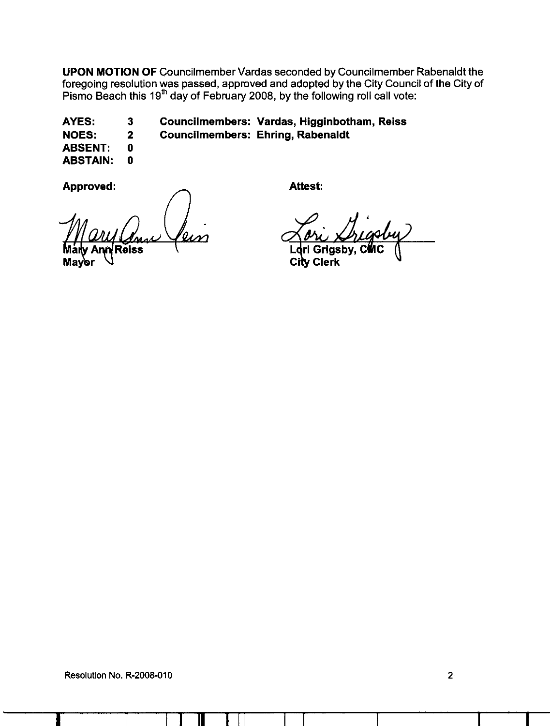UPON MOTION OF Councilmember Vardas seconded by Councilmember Rabenaldt the foregoing resolution was passed, approved and adopted by the City Council of the City of Pismo Beach this 19 $^{\text{th}}$  day of February 2008, by the following roll call vote:

AYES: 3 Councilmembers: Vardas, Higginbotham, Reiss NOES: 2 Councilmembers: Ehring, Rabenaldt

ABSENT: 0

**ABSTAIN: 0** 

Approved:

Attest:

Griasby. City Clerk

 $\blacksquare$ Resolution No. R-2008-010 2